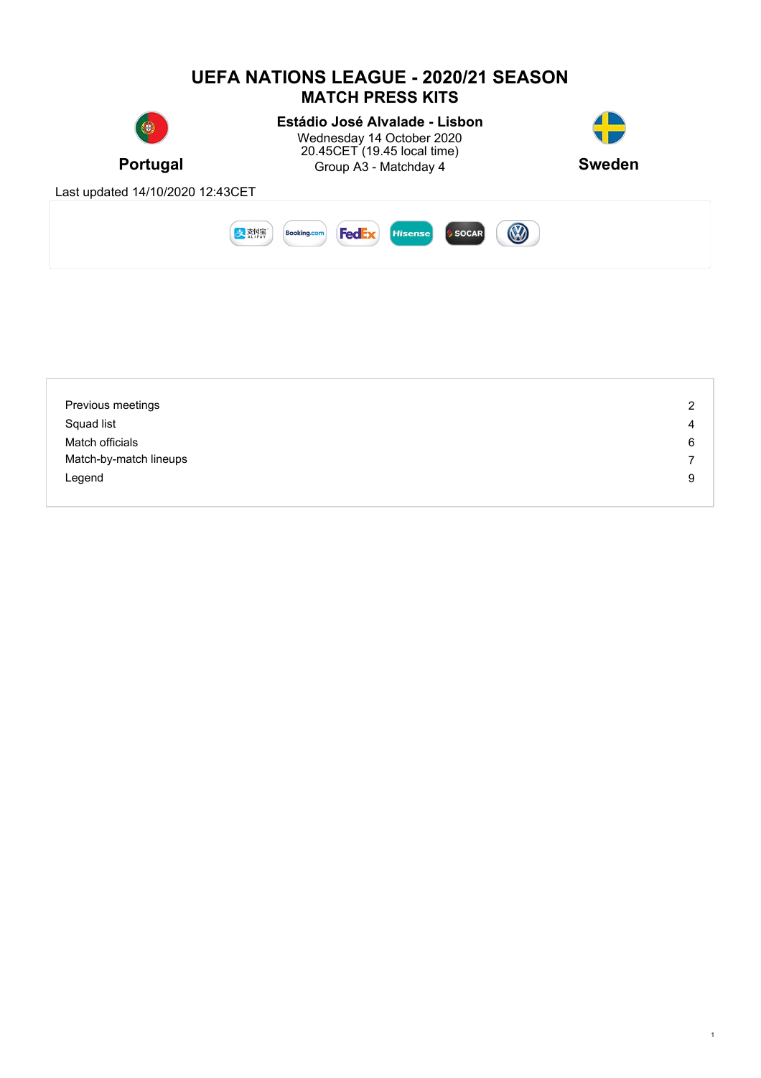

| Previous meetings      | 2 |
|------------------------|---|
| Squad list             | 4 |
| Match officials        | 6 |
| Match-by-match lineups | 7 |
| Legend                 | 9 |
|                        |   |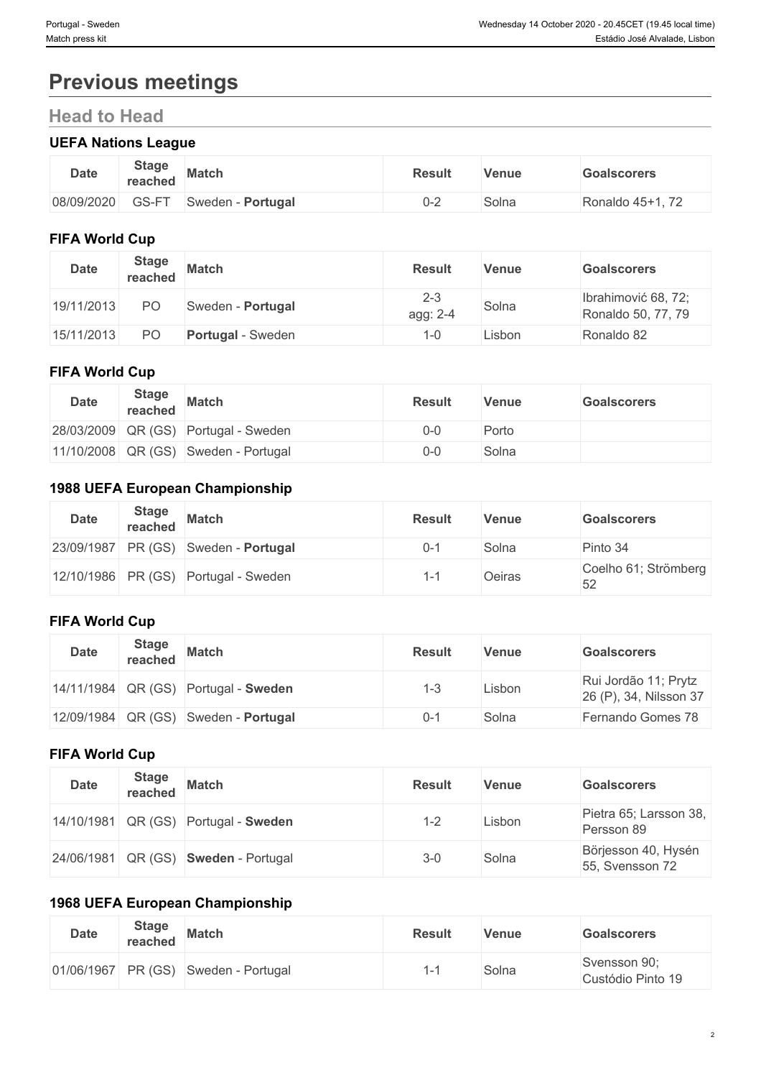# **Previous meetings**

# **Head to Head**

### **UEFA Nations League**

| <b>Date</b> | <b>Stage</b><br>reached                      | <b>Match</b>       | <b>Result</b> | Venue | Goalscorers          |
|-------------|----------------------------------------------|--------------------|---------------|-------|----------------------|
| 08/09/2020  | $\sim$ $\sim$<br>$- -$<br>. <i>. .</i><br>ーー | Portugal<br>Sweden | ປ∹∕<br>-      | Solna | Ronaldo 45+1, $\ell$ |

#### **FIFA World Cup**

| <b>Date</b> | <b>Stage</b><br>reached | <b>Match</b>             | <b>Result</b>       | <b>Venue</b> | <b>Goalscorers</b>                        |
|-------------|-------------------------|--------------------------|---------------------|--------------|-------------------------------------------|
| 19/11/2013  | P <sub>O</sub>          | Sweden - Portugal        | $2 - 3$<br>agg: 2-4 | Solna        | Ibrahimović 68, 72;<br>Ronaldo 50, 77, 79 |
| 15/11/2013  | P <sub>O</sub>          | <b>Portugal</b> - Sweden | -0                  | Lisbon       | Ronaldo 82                                |

#### **FIFA World Cup**

| <b>Date</b> | <b>Stage</b><br>reached | <b>Match</b>                         | <b>Result</b> | Venue | <b>Goalscorers</b> |
|-------------|-------------------------|--------------------------------------|---------------|-------|--------------------|
|             |                         | 28/03/2009 QR (GS) Portugal - Sweden | 0-0           | Porto |                    |
|             |                         | 11/10/2008 QR (GS) Sweden - Portugal | 0-0           | Solna |                    |

## **1988 UEFA European Championship**

| Date | <b>Stage</b><br>reached | <b>Match</b>                         | <b>Result</b> | <b>Venue</b> | <b>Goalscorers</b>         |
|------|-------------------------|--------------------------------------|---------------|--------------|----------------------------|
|      |                         | 23/09/1987 PR (GS) Sweden - Portugal | $0 - 1$       | Solna        | Pinto 34                   |
|      |                         | 12/10/1986 PR (GS) Portugal - Sweden | 1-1           | Oeiras       | Coelho 61; Strömberg<br>52 |

### **FIFA World Cup**

| <b>Date</b> | <b>Stage</b><br>reached | <b>Match</b>                         | <b>Result</b> | Venue  | <b>Goalscorers</b>                             |
|-------------|-------------------------|--------------------------------------|---------------|--------|------------------------------------------------|
|             |                         | 14/11/1984 QR (GS) Portugal - Sweden | 1-3           | Lisbon | Rui Jordão 11; Prytz<br>26 (P), 34, Nilsson 37 |
|             |                         | 12/09/1984 QR (GS) Sweden - Portugal | $0 - 1$       | Solna  | Fernando Gomes 78                              |

## **FIFA World Cup**

| <b>Date</b> | <b>Stage</b><br>reached | <b>Match</b>                         | <b>Result</b> | <b>Venue</b> | <b>Goalscorers</b>                     |
|-------------|-------------------------|--------------------------------------|---------------|--------------|----------------------------------------|
|             |                         | 14/10/1981 QR (GS) Portugal - Sweden | $1 - 2$       | Lisbon       | Pietra 65; Larsson 38,<br>Persson 89   |
|             |                         | 24/06/1981 QR (GS) Sweden - Portugal | $3-0$         | Solna        | Börjesson 40, Hysén<br>55, Svensson 72 |

### **1968 UEFA European Championship**

| <b>Date</b> | <b>Stage</b><br>reached | <b>Match</b>                         | <b>Result</b> | <b>Venue</b> | <b>Goalscorers</b>                |
|-------------|-------------------------|--------------------------------------|---------------|--------------|-----------------------------------|
|             |                         | 01/06/1967 PR (GS) Sweden - Portugal |               | Solna        | Svensson 90;<br>Custódio Pinto 19 |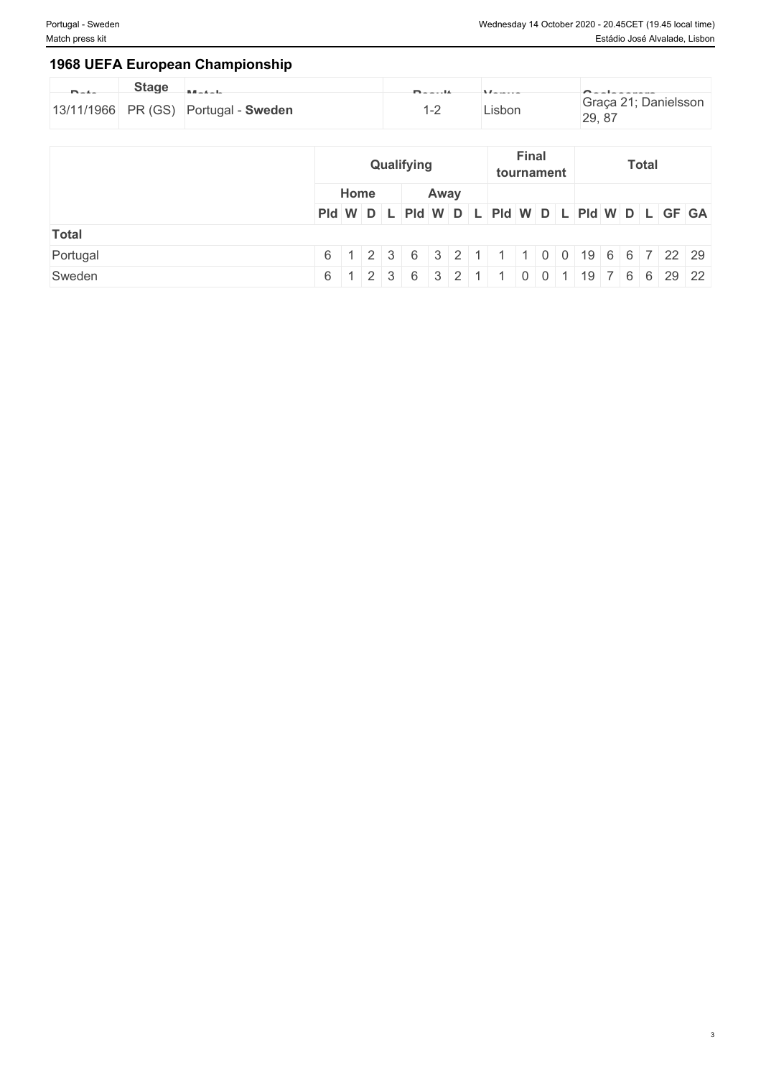### **1968 UEFA European Championship**

| <b>Planting</b> | <b>Stage</b> | <b>Little And Art</b>                | <b>Plannoon</b> | $11 - 11$ |                                |
|-----------------|--------------|--------------------------------------|-----------------|-----------|--------------------------------|
|                 |              | 13/11/1966 PR (GS) Portugal - Sweden |                 | ∟isbon    | Graça 21; Danielsson<br>29, 87 |

|              |                                               |      |  |  | Qualifying |      | <b>Final</b><br>tournament |  |  |  |  | <b>Total</b>                           |  |  |  |  |  |  |
|--------------|-----------------------------------------------|------|--|--|------------|------|----------------------------|--|--|--|--|----------------------------------------|--|--|--|--|--|--|
|              |                                               | Home |  |  |            | Away |                            |  |  |  |  |                                        |  |  |  |  |  |  |
|              | PId W D L PId W D L PId W D L PId W D L GF GA |      |  |  |            |      |                            |  |  |  |  |                                        |  |  |  |  |  |  |
| <b>Total</b> |                                               |      |  |  |            |      |                            |  |  |  |  |                                        |  |  |  |  |  |  |
| Portugal     |                                               |      |  |  |            |      |                            |  |  |  |  | 6 1 2 3 6 3 2 1 1 0 0 19 6 6 7 22 29   |  |  |  |  |  |  |
| Sweden       |                                               |      |  |  |            |      |                            |  |  |  |  | 6 1 2 3 6 3 2 1 1 0 0 1 19 7 6 6 29 22 |  |  |  |  |  |  |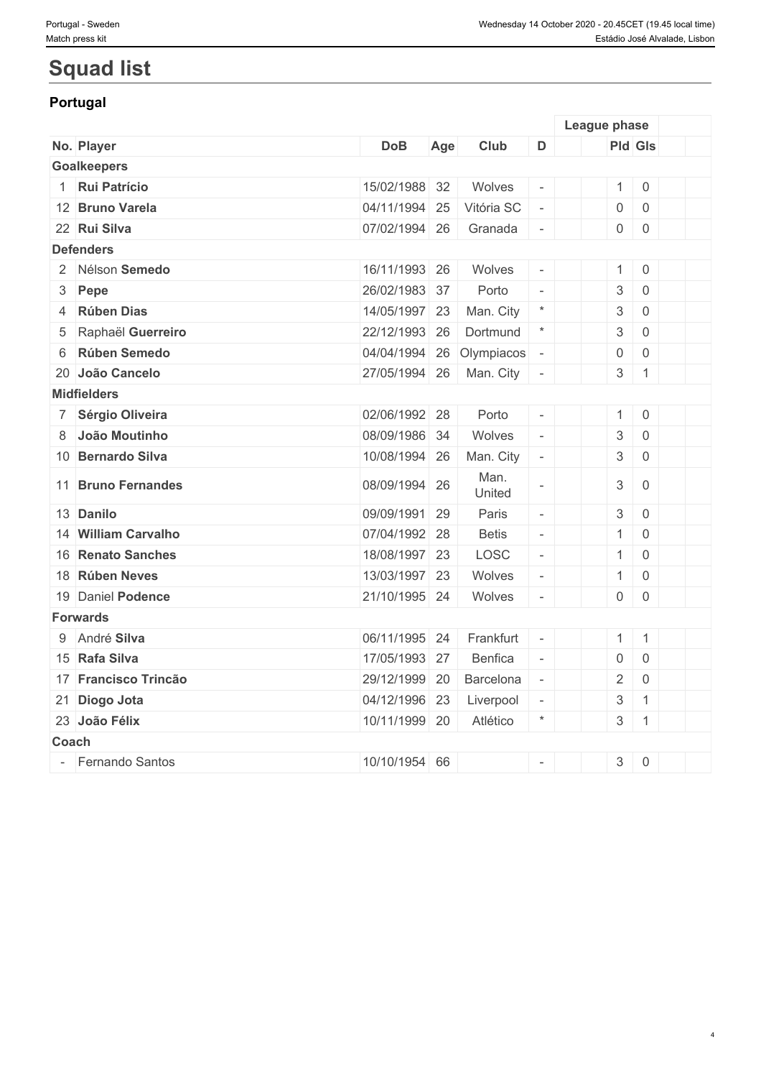# **Squad list**

## **Portugal**

|       |                      |               |     |                |                          | League phase              |                     |  |
|-------|----------------------|---------------|-----|----------------|--------------------------|---------------------------|---------------------|--|
|       | No. Player           | <b>DoB</b>    | Age | Club           | D                        |                           | <b>Pld Gls</b>      |  |
|       | <b>Goalkeepers</b>   |               |     |                |                          |                           |                     |  |
|       | Rui Patrício         | 15/02/1988 32 |     | Wolves         |                          | $\mathbf{1}$              | $\mathbf 0$         |  |
|       | 12 Bruno Varela      | 04/11/1994 25 |     | Vitória SC     | $\bar{a}$                | $\mathsf{O}\xspace$       | $\mathbf 0$         |  |
|       | 22 Rui Silva         | 07/02/1994 26 |     | Granada        | $\bar{a}$                | $\mathsf{O}\xspace$       | $\mathbf 0$         |  |
|       | <b>Defenders</b>     |               |     |                |                          |                           |                     |  |
|       | 2 Nélson Semedo      | 16/11/1993 26 |     | Wolves         | $\omega$                 | $\mathbf{1}$              | $\overline{0}$      |  |
|       | 3 Pepe               | 26/02/1983 37 |     | Porto          | $\bar{a}$                | $\ensuremath{\mathsf{3}}$ | $\mathsf{O}\xspace$ |  |
|       | 4 Rúben Dias         | 14/05/1997 23 |     | Man. City      | $\star$                  | $\ensuremath{\mathsf{3}}$ | $\mathbf 0$         |  |
| 5     | Raphaël Guerreiro    | 22/12/1993 26 |     | Dortmund       | $\star$                  | $\ensuremath{\mathsf{3}}$ | $\mathbf 0$         |  |
| 6     | Rúben Semedo         | 04/04/1994 26 |     | Olympiacos     |                          | $\mathsf{O}\xspace$       | $\mathsf{O}\xspace$ |  |
|       | 20 João Cancelo      | 27/05/1994 26 |     | Man. City      | $\bar{a}$                | 3                         | $\mathbf{1}$        |  |
|       | <b>Midfielders</b>   |               |     |                |                          |                           |                     |  |
|       | 7 Sérgio Oliveira    | 02/06/1992 28 |     | Porto          |                          | $\mathbf{1}$              | $\overline{0}$      |  |
|       | 8 João Moutinho      | 08/09/1986 34 |     | Wolves         | $\omega$                 | $\sqrt{3}$                | $\mathbf 0$         |  |
|       | 10 Bernardo Silva    | 10/08/1994 26 |     | Man. City      | $\overline{\phantom{a}}$ | $\sqrt{3}$                | $\overline{0}$      |  |
|       | 11 Bruno Fernandes   | 08/09/1994 26 |     | Man.<br>United | $\overline{\phantom{a}}$ | $\ensuremath{\mathsf{3}}$ | $\mathbf 0$         |  |
|       | 13 Danilo            | 09/09/1991 29 |     | Paris          | $\overline{\phantom{a}}$ | $\sqrt{3}$                | $\mathbf 0$         |  |
|       | 14 William Carvalho  | 07/04/1992 28 |     | <b>Betis</b>   | $\omega$                 | $\mathbf{1}$              | $\mathbf 0$         |  |
|       | 16 Renato Sanches    | 18/08/1997 23 |     | LOSC           | $\overline{\phantom{a}}$ | $\mathbf{1}$              | $\mathbf 0$         |  |
|       | 18 Rúben Neves       | 13/03/1997 23 |     | Wolves         | $\omega$                 | $\mathbf{1}$              | $\mathbf 0$         |  |
|       | 19 Daniel Podence    | 21/10/1995 24 |     | Wolves         | $\overline{\phantom{a}}$ | $\mathsf{O}$              | $\mathbf 0$         |  |
|       | <b>Forwards</b>      |               |     |                |                          |                           |                     |  |
|       | 9 André Silva        | 06/11/1995 24 |     | Frankfurt      | $\overline{\phantom{a}}$ | $\mathbf{1}$              | $\overline{1}$      |  |
|       | 15 Rafa Silva        | 17/05/1993 27 |     | <b>Benfica</b> | $\sim$                   | $\boldsymbol{0}$          | $\mathsf{O}\xspace$ |  |
|       | 17 Francisco Trincão | 29/12/1999 20 |     | Barcelona      | $\overline{\phantom{a}}$ | $\overline{2}$            | $\,0\,$             |  |
|       | 21 Diogo Jota        | 04/12/1996 23 |     | Liverpool      | $\overline{\phantom{a}}$ | $\ensuremath{\mathsf{3}}$ | $\overline{1}$      |  |
|       | 23 João Félix        | 10/11/1999 20 |     | Atlético       | $\star$                  | $\sqrt{3}$                | $\mathbf{1}$        |  |
| Coach |                      |               |     |                |                          |                           |                     |  |
|       | - Fernando Santos    | 10/10/1954 66 |     |                | $\overline{\phantom{a}}$ | $\mathfrak{S}$            | $\,0\,$             |  |
|       |                      |               |     |                |                          |                           |                     |  |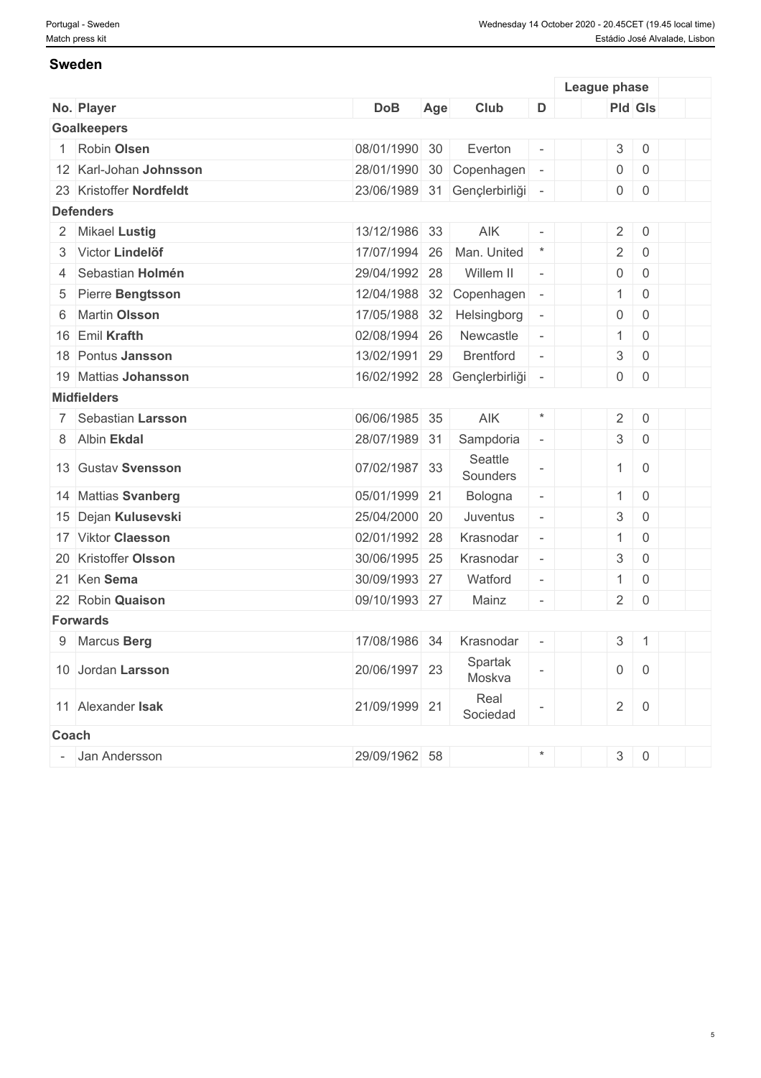#### **Sweden**

|       |                         |               |     |                              |                          | League phase        |                     |  |
|-------|-------------------------|---------------|-----|------------------------------|--------------------------|---------------------|---------------------|--|
|       | No. Player              | <b>DoB</b>    | Age | Club                         | D                        | <b>Pld Gls</b>      |                     |  |
|       | <b>Goalkeepers</b>      |               |     |                              |                          |                     |                     |  |
|       | Robin Olsen             | 08/01/1990 30 |     | Everton                      |                          | 3                   | $\mathbf 0$         |  |
|       | 12 Karl-Johan Johnsson  | 28/01/1990    | 30  | Copenhagen                   |                          | $\mathbf 0$         | $\overline{0}$      |  |
|       | 23 Kristoffer Nordfeldt | 23/06/1989 31 |     | Gençlerbirliği               | $\overline{\phantom{a}}$ | 0                   | $\mathsf 0$         |  |
|       | <b>Defenders</b>        |               |     |                              |                          |                     |                     |  |
|       | 2 Mikael Lustig         | 13/12/1986 33 |     | AIK                          |                          | $\overline{2}$      | $\mathsf 0$         |  |
|       | 3 Victor Lindelöf       | 17/07/1994    | 26  | Man. United                  | $\ast$                   | $\overline{2}$      | $\mathbf 0$         |  |
| 4     | Sebastian Holmén        | 29/04/1992 28 |     | Willem II                    | $\equiv$                 | 0                   | $\mathsf{O}\xspace$ |  |
| 5     | Pierre Bengtsson        | 12/04/1988    | 32  | Copenhagen                   |                          | $\mathbf{1}$        | $\mathsf{O}\xspace$ |  |
| 6     | <b>Martin Olsson</b>    | 17/05/1988    | 32  | Helsingborg                  | $\overline{\phantom{a}}$ | $\mathsf{O}$        | $\mathsf 0$         |  |
|       | 16 Emil Krafth          | 02/08/1994 26 |     | Newcastle                    | $\overline{\phantom{a}}$ | $\mathbf{1}$        | $\mathsf 0$         |  |
|       | 18 Pontus Jansson       | 13/02/1991    | 29  | <b>Brentford</b>             |                          | 3                   | $\mathsf 0$         |  |
|       | 19 Mattias Johansson    |               |     | 16/02/1992 28 Gençlerbirliği | $\overline{\phantom{a}}$ | $\boldsymbol{0}$    | $\overline{0}$      |  |
|       | <b>Midfielders</b>      |               |     |                              |                          |                     |                     |  |
|       | 7 Sebastian Larsson     | 06/06/1985 35 |     | AIK                          | $\star$                  | $\overline{2}$      | $\mathbf 0$         |  |
|       | 8 Albin Ekdal           | 28/07/1989 31 |     | Sampdoria                    | $\overline{\phantom{a}}$ | 3                   | $\mathsf 0$         |  |
|       | 13 Gustav Svensson      | 07/02/1987 33 |     | Seattle<br>Sounders          |                          | $\mathbf{1}$        | $\overline{0}$      |  |
|       | 14 Mattias Svanberg     | 05/01/1999 21 |     | Bologna                      | $\overline{\phantom{a}}$ | $\mathbf{1}$        | $\mathsf 0$         |  |
|       | 15 Dejan Kulusevski     | 25/04/2000 20 |     | Juventus                     |                          | 3                   | $\mathbf 0$         |  |
|       | 17 Viktor Claesson      | 02/01/1992 28 |     | Krasnodar                    | $\overline{\phantom{a}}$ | $\mathbf{1}$        | $\mathbf 0$         |  |
|       | 20 Kristoffer Olsson    | 30/06/1995 25 |     | Krasnodar                    | $\overline{\phantom{a}}$ | 3                   | $\mathbf 0$         |  |
|       | 21 Ken Sema             | 30/09/1993 27 |     | Watford                      | $\overline{\phantom{a}}$ | $\mathbf{1}$        | $\mathbf 0$         |  |
|       | 22 Robin Quaison        | 09/10/1993 27 |     | Mainz                        | $\overline{\phantom{a}}$ | $\overline{2}$      | $\overline{0}$      |  |
|       | <b>Forwards</b>         |               |     |                              |                          |                     |                     |  |
|       | 9 Marcus Berg           | 17/08/1986 34 |     | Krasnodar                    |                          | 3 <sup>1</sup>      | $\overline{1}$      |  |
|       | 10 Jordan Larsson       | 20/06/1997 23 |     | Spartak<br>Moskva            |                          | $\mathsf{O}\xspace$ | $\mathsf 0$         |  |
|       | 11 Alexander Isak       | 21/09/1999 21 |     | Real<br>Sociedad             |                          | $\overline{2}$      | $\boldsymbol{0}$    |  |
| Coach |                         |               |     |                              |                          |                     |                     |  |
|       | Jan Andersson           | 29/09/1962 58 |     |                              | $\star$                  |                     | $3 \mid 0$          |  |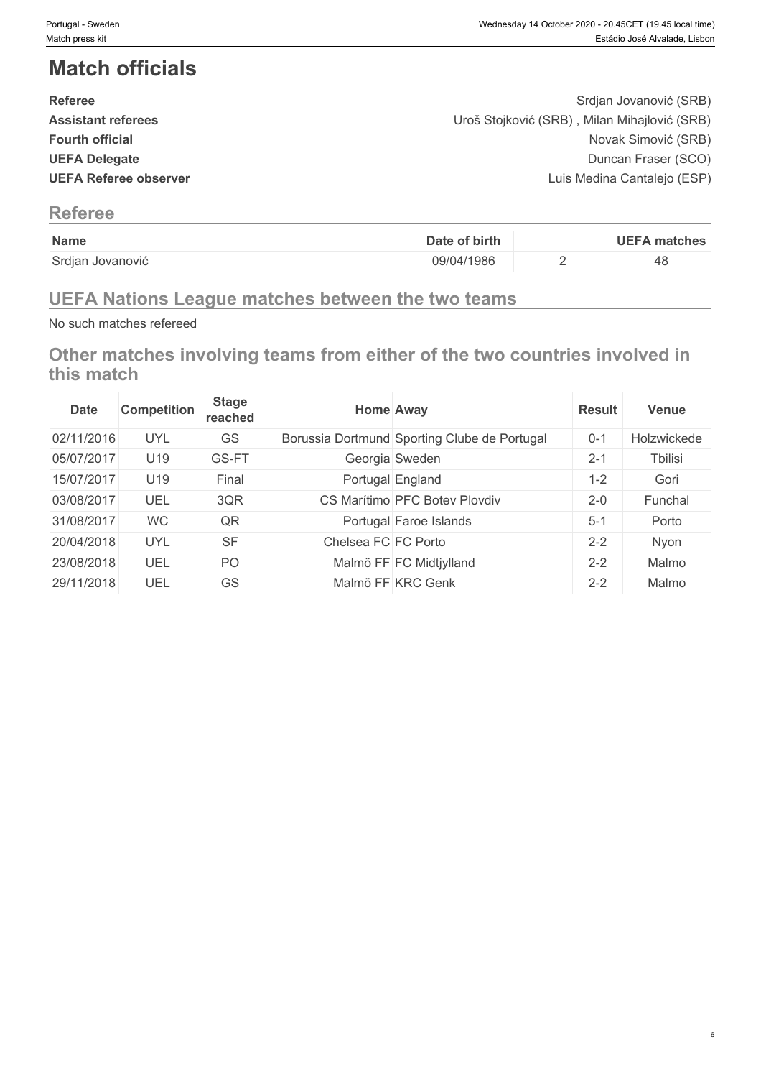# **Match officials**

| <b>Referee</b>               | Srdjan Jovanović (SRB)                       |  |
|------------------------------|----------------------------------------------|--|
| <b>Assistant referees</b>    | Uroš Stojković (SRB), Milan Mihajlović (SRB) |  |
| <b>Fourth official</b>       | Novak Simović (SRB)                          |  |
| <b>UEFA Delegate</b>         | Duncan Fraser (SCO)                          |  |
| <b>UEFA Referee observer</b> | Luis Medina Cantalejo (ESP)                  |  |
|                              |                                              |  |

## **Referee**

| Name             | Date of birth | <b>UEFA matches</b> |
|------------------|---------------|---------------------|
| Srdjan Jovanović | 09/04/1986    | 48                  |

# **UEFA Nations League matches between the two teams**

No such matches refereed

**Other matches involving teams from either of the two countries involved in this match**

| <b>Date</b> | <b>Competition</b> | <b>Stage</b><br>reached |                     | <b>Home Away</b>                             | <b>Result</b> | <b>Venue</b> |
|-------------|--------------------|-------------------------|---------------------|----------------------------------------------|---------------|--------------|
| 02/11/2016  | <b>UYL</b>         | GS                      |                     | Borussia Dortmund Sporting Clube de Portugal | $0 - 1$       | Holzwickede  |
| 05/07/2017  | U19                | GS-FT                   |                     | Georgia Sweden                               | $2 - 1$       | Tbilisi      |
| 15/07/2017  | U19                | Final                   |                     | Portugal England                             | $1 - 2$       | Gori         |
| 03/08/2017  | UEL                | 3QR                     |                     | CS Marítimo PFC Botev Plovdiv                | $2 - 0$       | Funchal      |
| 31/08/2017  | <b>WC</b>          | QR                      |                     | Portugal Faroe Islands                       | $5 - 1$       | Porto        |
| 20/04/2018  | <b>UYL</b>         | <b>SF</b>               | Chelsea FC FC Porto |                                              | $2 - 2$       | Nyon         |
| 23/08/2018  | UEL                | PO <sub>1</sub>         |                     | Malmö FF FC Midtjylland                      | $2 - 2$       | Malmo        |
| 29/11/2018  | UEL                | GS                      |                     | Malmö FF KRC Genk                            | $2 - 2$       | Malmo        |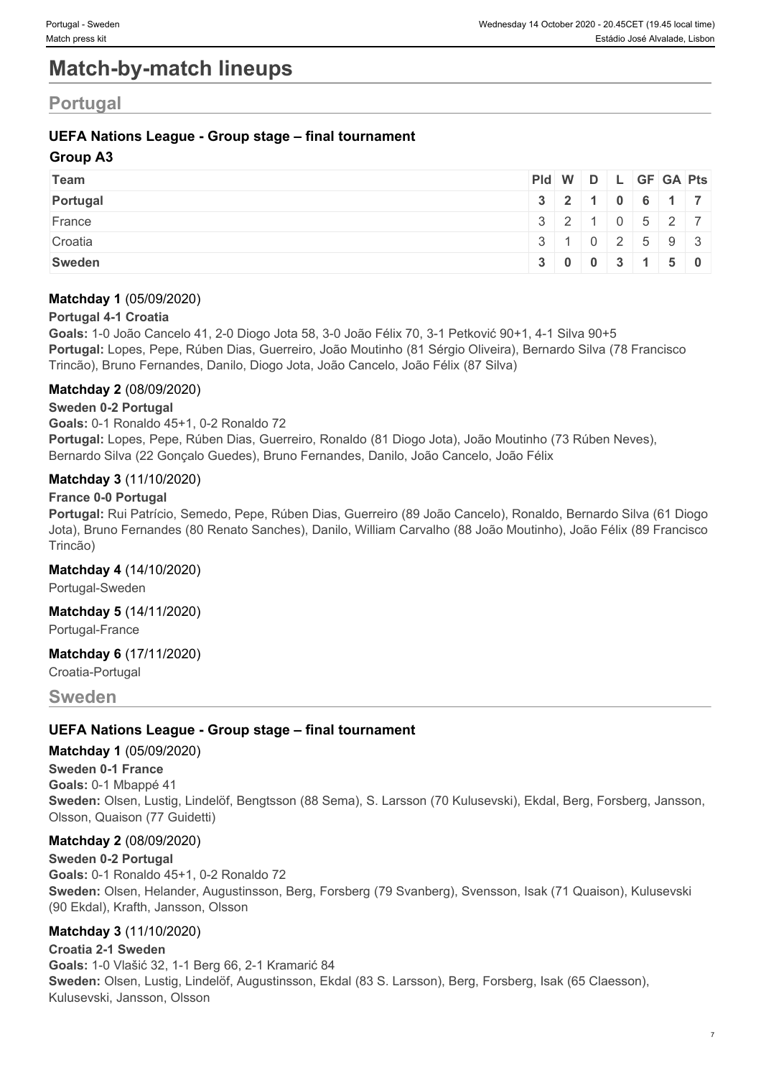# **Match-by-match lineups**

## **Portugal**

#### **UEFA Nations League - Group stage – final tournament**

#### **Group A3**

| Team     | Pid W D L GF GA Pts       |                                                    |  |  |  |
|----------|---------------------------|----------------------------------------------------|--|--|--|
| Portugal |                           | $3 \mid 2 \mid 1 \mid 0 \mid 6 \mid 1 \mid 7 \mid$ |  |  |  |
| France   |                           | 3   2   1   0   5   2   7                          |  |  |  |
| Croatia  | 3   1   0   2   5   9   3 |                                                    |  |  |  |
| Sweden   |                           | $3 \mid 0 \mid 0 \mid 3 \mid 1 \mid 5 \mid 0$      |  |  |  |

#### **Matchday 1** (05/09/2020)

#### **Portugal 4-1 Croatia**

**Goals:** 1-0 João Cancelo 41, 2-0 Diogo Jota 58, 3-0 João Félix 70, 3-1 Petković 90+1, 4-1 Silva 90+5 **Portugal:** Lopes, Pepe, Rúben Dias, Guerreiro, João Moutinho (81 Sérgio Oliveira), Bernardo Silva (78 Francisco Trincão), Bruno Fernandes, Danilo, Diogo Jota, João Cancelo, João Félix (87 Silva)

#### **Matchday 2** (08/09/2020)

#### **Sweden 0-2 Portugal**

**Goals:** 0-1 Ronaldo 45+1, 0-2 Ronaldo 72

**Portugal:** Lopes, Pepe, Rúben Dias, Guerreiro, Ronaldo (81 Diogo Jota), João Moutinho (73 Rúben Neves), Bernardo Silva (22 Gonçalo Guedes), Bruno Fernandes, Danilo, João Cancelo, João Félix

#### **Matchday 3** (11/10/2020)

#### **France 0-0 Portugal**

**Portugal:** Rui Patrício, Semedo, Pepe, Rúben Dias, Guerreiro (89 João Cancelo), Ronaldo, Bernardo Silva (61 Diogo Jota), Bruno Fernandes (80 Renato Sanches), Danilo, William Carvalho (88 João Moutinho), João Félix (89 Francisco Trincão)

#### **Matchday 4** (14/10/2020)

Portugal-Sweden

#### **Matchday 5** (14/11/2020)

Portugal-France

#### **Matchday 6** (17/11/2020)

Croatia-Portugal

**Sweden**

#### **UEFA Nations League - Group stage – final tournament**

#### **Matchday 1** (05/09/2020)

**Sweden 0-1 France Goals:** 0-1 Mbappé 41 **Sweden:** Olsen, Lustig, Lindelöf, Bengtsson (88 Sema), S. Larsson (70 Kulusevski), Ekdal, Berg, Forsberg, Jansson, Olsson, Quaison (77 Guidetti)

#### **Matchday 2** (08/09/2020)

**Sweden 0-2 Portugal Goals:** 0-1 Ronaldo 45+1, 0-2 Ronaldo 72 **Sweden:** Olsen, Helander, Augustinsson, Berg, Forsberg (79 Svanberg), Svensson, Isak (71 Quaison), Kulusevski (90 Ekdal), Krafth, Jansson, Olsson

#### **Matchday 3** (11/10/2020)

**Croatia 2-1 Sweden Goals:** 1-0 Vlašić 32, 1-1 Berg 66, 2-1 Kramarić 84 **Sweden:** Olsen, Lustig, Lindelöf, Augustinsson, Ekdal (83 S. Larsson), Berg, Forsberg, Isak (65 Claesson), Kulusevski, Jansson, Olsson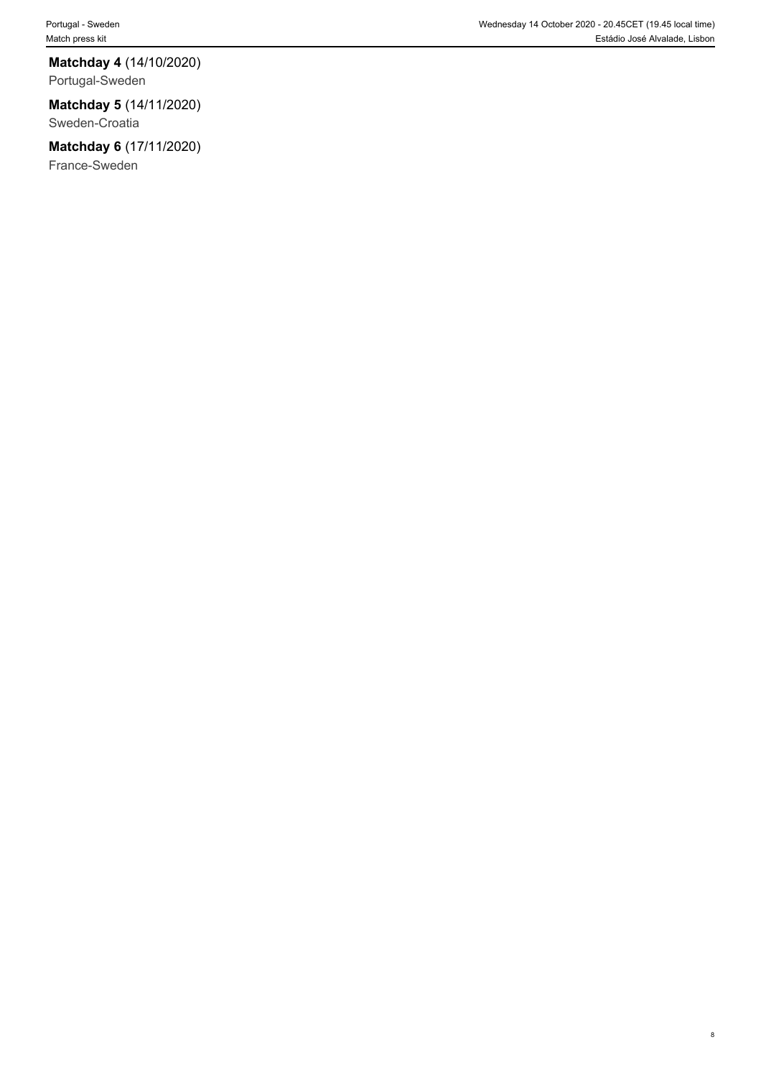#### **Matchday 4** (14/10/2020)

Portugal-Sweden

#### **Matchday 5** (14/11/2020)

Sweden-Croatia

### **Matchday 6** (17/11/2020)

France-Sweden

8